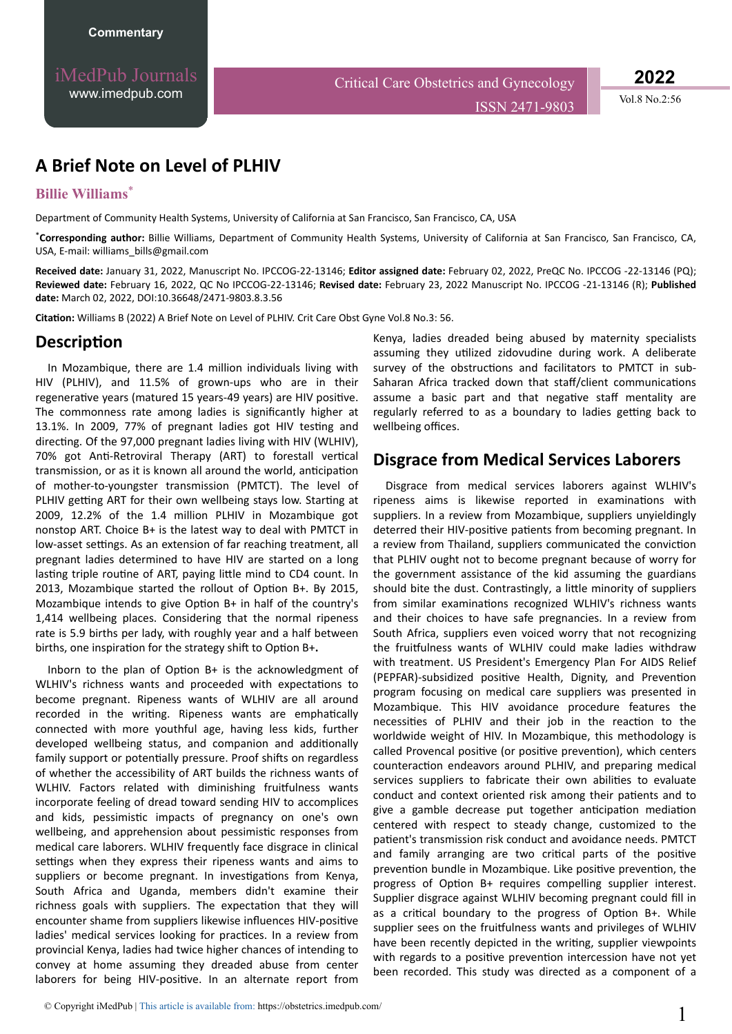iMedPub Journals [www.imedpub.com](http://www.imedpub.com/)

ISSN 2471-9803 Vol.8 No.2:56

# **A Brief Note on Level of PLHIV**

#### **Billie Williams**\*

Department of Community Health Systems, University of California at San Francisco, San Francisco, CA, USA

\***Corresponding author:** Billie Williams, Department of Community Health Systems, University of California at San Francisco, San Francisco, CA, USA, E-mail: williams\_bills@gmail.com

**Received date:** January 31, 2022, Manuscript No. IPCCOG-22-13146; **Editor assigned date:** February 02, 2022, PreQC No. IPCCOG -22-13146 (PQ); **Reviewed date:** February 16, 2022, QC No IPCCOG-22-13146; **Revised date:** February 23, 2022 Manuscript No. IPCCOG -21-13146 (R); **Published date:** March 02, 2022, DOI:10.36648/2471-9803.8.3.56

**Citation:** Williams B (2022) A Brief Note on Level of PLHIV. Crit Care Obst Gyne Vol.8 No.3: 56.

#### **Description**

In Mozambique, there are 1.4 million individuals living with HIV (PLHIV), and 11.5% of grown-ups who are in their regenerative years (matured 15 years-49 years) are HIV positive. The commonness rate among ladies is significantly higher at 13.1%. In 2009, 77% of pregnant ladies got HIV testing and directing. Of the 97,000 pregnant ladies living with HIV (WLHIV), 70% got Anti-Retroviral Therapy (ART) to forestall vertical transmission, or as it is known all around the world, anticipation of mother-to-youngster transmission (PMTCT). The level of PLHIV getting ART for their own wellbeing stays low. Starting at 2009, 12.2% of the 1.4 million PLHIV in Mozambique got nonstop ART. Choice B+ is the latest way to deal with PMTCT in low-asset settings. As an extension of far reaching treatment, all pregnant ladies determined to have HIV are started on a long lasting triple routine of ART, paying little mind to CD4 count. In 2013, Mozambique started the rollout of Option B+. By 2015, Mozambique intends to give Option  $B+$  in half of the country's 1,414 wellbeing places. Considering that the normal ripeness rate is 5.9 births per lady, with roughly year and a half between births, one inspiration for the strategy shift to Option B+.

Inborn to the plan of Option B+ is the acknowledgment of WLHIV's richness wants and proceeded with expectations to become pregnant. Ripeness wants of WLHIV are all around recorded in the writing. Ripeness wants are emphatically connected with more youthful age, having less kids, further developed wellbeing status, and companion and additionally family support or potentially pressure. Proof shifts on regardless of whether the accessibility of ART builds the richness wants of WLHIV. Factors related with diminishing fruitfulness wants incorporate feeling of dread toward sending HIV to accomplices and kids, pessimistic impacts of pregnancy on one's own wellbeing, and apprehension about pessimistic responses from medical care laborers. WLHIV frequently face disgrace in clinical settings when they express their ripeness wants and aims to suppliers or become pregnant. In investigations from Kenya, South Africa and Uganda, members didn't examine their richness goals with suppliers. The expectation that they will encounter shame from suppliers likewise influences HIV-positive ladies' medical services looking for practices. In a review from provincial Kenya, ladies had twice higher chances of intending to convey at home assuming they dreaded abuse from center laborers for being HIV-positive. In an alternate report from Kenya, ladies dreaded being abused by maternity specialists assuming they utilized zidovudine during work. A deliberate survey of the obstructions and facilitators to PMTCT in sub-Saharan Africa tracked down that staff/client communications assume a basic part and that negative staff mentality are regularly referred to as a boundary to ladies getting back to wellbeing offices.

### **Disgrace from Medical Services Laborers**

Disgrace from medical services laborers against WLHIV's ripeness aims is likewise reported in examinations with suppliers. In a review from Mozambique, suppliers unyieldingly deterred their HIV-positive patients from becoming pregnant. In a review from Thailand, suppliers communicated the conviction that PLHIV ought not to become pregnant because of worry for the government assistance of the kid assuming the guardians should bite the dust. Contrastingly, a little minority of suppliers from similar examinations recognized WLHIV's richness wants and their choices to have safe pregnancies. In a review from South Africa, suppliers even voiced worry that not recognizing the fruitfulness wants of WLHIV could make ladies withdraw with treatment. US President's Emergency Plan For AIDS Relief (PEPFAR)-subsidized positive Health, Dignity, and Prevention program focusing on medical care suppliers was presented in Mozambique. This HIV avoidance procedure features the necessities of PLHIV and their job in the reaction to the worldwide weight of HIV. In Mozambique, this methodology is called Provencal positive (or positive prevention), which centers counteraction endeavors around PLHIV, and preparing medical services suppliers to fabricate their own abilities to evaluate conduct and context oriented risk among their patients and to give a gamble decrease put together anticipation mediation centered with respect to steady change, customized to the patient's transmission risk conduct and avoidance needs. PMTCT and family arranging are two critical parts of the positive prevention bundle in Mozambique. Like positive prevention, the progress of Option B+ requires compelling supplier interest. Supplier disgrace against WLHIV becoming pregnant could fill in as a critical boundary to the progress of Option B+. While supplier sees on the fruitfulness wants and privileges of WLHIV have been recently depicted in the writing, supplier viewpoints with regards to a positive prevention intercession have not yet been recorded. This study was directed as a component of a